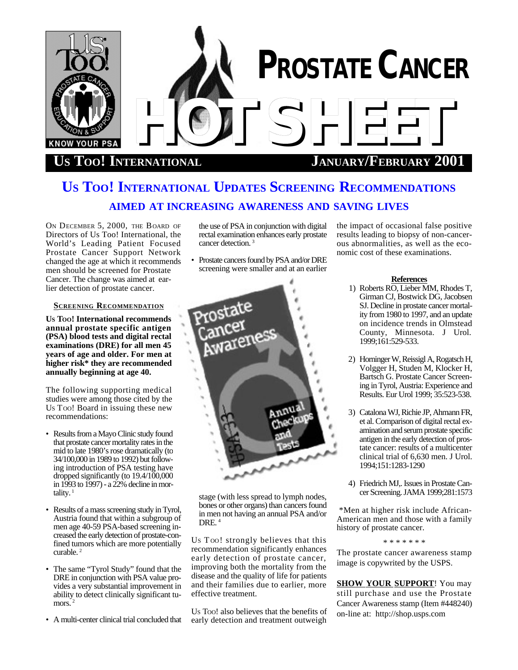

# **US TOO! INTERNATIONAL JANUARY/FEBRUARY 2001**

# **US TOO! INTERNATIONAL UPDATES SCREENING RECOMMENDATIONS AIMED AT INCREASING AWARENESS AND SAVING LIVES**

ON DECEMBER 5, 2000, THE BOARD OF Directors of Us Too! International, the World's Leading Patient Focused Prostate Cancer Support Network changed the age at which it recommends men should be screened for Prostate Cancer. The change was aimed at earlier detection of prostate cancer.

## **SCREENING RECOMMENDATION**

**US TOO! International recommends annual prostate specific antigen (PSA) blood tests and digital rectal examinations (DRE) for all men 45 years of age and older. For men at higher risk\* they are recommended annually beginning at age 40.**

The following supporting medical studies were among those cited by the US TOO! Board in issuing these new recommendations:

- Results from a Mayo Clinic study found that prostate cancer mortality rates in the mid to late 1980's rose dramatically (to 34/100,000 in 1989 to 1992) but following introduction of PSA testing have dropped significantly (to 19.4/100,000 in 1993 to 1997) - a 22% decline in mortality. $<sup>1</sup>$ </sup>
- Results of a mass screening study in Tyrol, Austria found that within a subgroup of men age 40-59 PSA-based screening increased the early detection of prostate-confined tumors which are more potentially curable. <sup>2</sup>
- The same "Tyrol Study" found that the DRE in conjunction with PSA value provides a very substantial improvement in ability to detect clinically significant tumors.<sup>2</sup>
- A multi-center clinical trial concluded that

the use of PSA in conjunction with digital rectal examination enhances early prostate cancer detection. <sup>3</sup>

• Prostate cancers found by PSA and/or DRE screening were smaller and at an earlier



stage (with less spread to lymph nodes, bones or other organs) than cancers found in men not having an annual PSA and/or DRE.<sup>4</sup>

Us Too! strongly believes that this recommendation significantly enhances early detection of prostate cancer, improving both the mortality from the disease and the quality of life for patients and their families due to earlier, more effective treatment.

US TOO! also believes that the benefits of early detection and treatment outweigh the impact of occasional false positive results leading to biopsy of non-cancerous abnormalities, as well as the economic cost of these examinations.

### **References**

- 1) Roberts RO, Lieber MM, Rhodes T, Girman CJ, Bostwick DG, Jacobsen SJ. Decline in prostate cancer mortality from 1980 to 1997, and an update on incidence trends in Olmstead County, Minnesota. J Urol. 1999;161:529-533.
- 2) Horninger W, Reissigl A, Rogatsch H, Volgger H, Studen M, Klocker H, Bartsch G. Prostate Cancer Screening in Tyrol, Austria: Experience and Results. Eur Urol 1999; 35:523-538.
- 3) Catalona WJ, Richie JP, Ahmann FR, et al. Comparison of digital rectal examination and serum prostate specific antigen in the early detection of prostate cancer: results of a multicenter clinical trial of 6,630 men. J Urol. 1994;151:1283-1290
- 4) Friedrich MJ,. Issues in Prostate Cancer Screening. JAMA 1999;281:1573

 \*Men at higher risk include African-American men and those with a family history of prostate cancer.

## \* \* \* \* \* \* \*

The prostate cancer awareness stamp image is copywrited by the USPS.

**SHOW YOUR SUPPORT**! You may still purchase and use the Prostate Cancer Awareness stamp (Item #448240) on-line at: http://shop.usps.com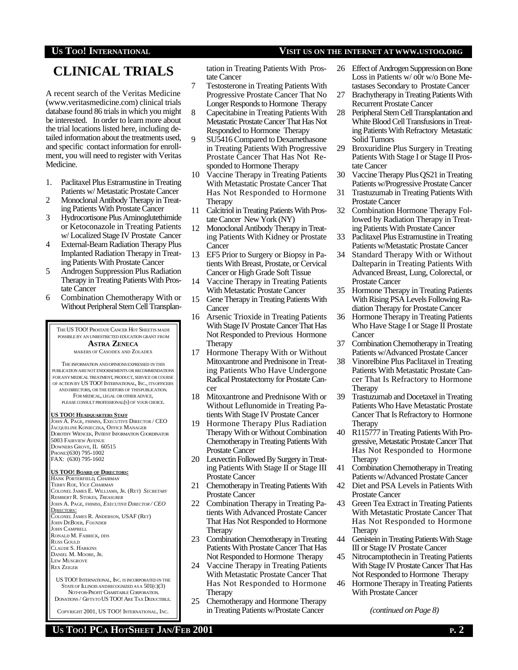# **US TOO! INTERNATIONAL VISIT US ON THE INTERNET AT WWW.USTOO.ORG**

# **CLINICAL TRIALS**

A recent search of the Veritas Medicine (www.veritasmedicine.com) clinical trials database found 86 trials in which you might be interested. In order to learn more about the trial locations listed here, including detailed information about the treatments used, and specific contact information for enrollment, you will need to register with Veritas Medicine.

- 1. Paclitaxel Plus Estramustine in Treating Patients w/ Metastatic Prostate Cancer
- 2 Monoclonal Antibody Therapy in Treating Patients With Prostate Cancer
- 3 Hydrocortisone Plus Aminoglutethimide or Ketoconazole in Treating Patients w/ Localized Stage IV Prostate Cancer
- 4 External-Beam Radiation Therapy Plus Implanted Radiation Therapy in Treating Patients With Prostate Cancer
- 5 Androgen Suppression Plus Radiation Therapy in Treating Patients With Prostate Cancer
- 6 Combination Chemotherapy With or Without Peripheral Stem Cell Transplan-

THE US TOO! PROSTATE CANCER HOT SHEETIS MADE POSSIBLE BY AN UNRESTRICTED EDUCATION GRANT FROM **ASTRA ZENECA** MAKERS OF CASODEX AND ZOLADEX THE INFORMATION ANDOPINIONSEXPRESSED IN THIS

PUBLICATION ARENOT ENDORSEMENTS OR RECOMMENDATIONS FOR ANY MEDICAL TREATMENT, PRODUCT, SERVICE OR COURSE OF ACTION BY US TOO! INTERNATIONAL, INC., ITSOFFICERS AND DIRECTORS, OR THE EDITORS OF THIS PUBLICATION. FOR MEDICAL, LEGAL OR OTHER ADVICE, PLEASE CONSULT PROFESSIONAL(S) OF YOUR CHOICE.

#### **US TOO! HEADQUARTERS STAFF**

JOHN A. PAGE, FHIMSS, EXECUTIVE DIRECTOR / CEO JACQUELINE KONIECZKA, OFFICE MANAGER DOROTHY WIENCEK, PATIENT INFORMATION COORDINATOR 5003 FAIRVIEW AVENUE DOWNERS GROVE, IL 60515 PHONE:(630) 795-1002 FAX: (630) 795-1602

## **US TOO! BOARD OF DIRECTORS:**

HANK PORTERFIELD, *CHAIRMAN* TERRY ROE, *VICE CHAIRMAN* COLONEL JAMES E. WILLIAMS, JR. (RET) *SECRETARY* REMBERT R. STOKES, *TREASURER* JOHN A. PAGE, FHIMSS, *EXECUTIVE DIRECTOR / CEO* <u>Directors:</u><br>Colonel James R. Anderson, USAF (Ret) JOHN DEBOER, *FOUNDER* JOHN CAMPBELL RONALD M. FABRICK, DDS **RUSS GOULD** CLAUDE S. HARKINS DANIEL M. MOORE, JR. LEW MUSGROVE REX ZEIGER

US TOO! INTERNATIONAL, INC. IS INCORPORATED IN THE STATE OF ILLINOIS AND RECOGNIZED AS A 501(C)(3) NOT-FOR-PROFIT CHARITABLE CORPORATION. DONATIONS / GIFTSTO US TOO! ARE TAX DEDUCTIBLE.

COPYRIGHT 2001, US TOO! INTERNATIONAL, INC.

tation in Treating Patients With Prostate Cancer

- 7 Testosterone in Treating Patients With Progressive Prostate Cancer That No Longer Responds to Hormone Therapy
- 8 Capecitabine in Treating Patients With Metastatic Prostate Cancer That Has Not Responded to Hormone Therapy
- 9 SU5416 Compared to Dexamethasone in Treating Patients With Progressive Prostate Cancer That Has Not Responded to Hormone Therapy
- 10 Vaccine Therapy in Treating Patients With Metastatic Prostate Cancer That Has Not Responded to Hormone **Therapy**
- 11 Calcitriol in Treating Patients With Prostate Cancer New York (NY)
- 12 Monoclonal Antibody Therapy in Treating Patients With Kidney or Prostate **Cancer**
- 13 EF5 Prior to Surgery or Biopsy in Patients With Breast, Prostate, or Cervical Cancer or High Grade Soft Tissue
- 14 Vaccine Therapy in Treating Patients With Metastatic Prostate Cancer
- 15 Gene Therapy in Treating Patients With **Cancer**
- 16 Arsenic Trioxide in Treating Patients With Stage IV Prostate Cancer That Has Not Responded to Previous Hormone **Therapy**
- 17 Hormone Therapy With or Without Mitoxantrone and Prednisone in Treating Patients Who Have Undergone Radical Prostatectomy for Prostate Cancer
- 18 Mitoxantrone and Prednisone With or Without Leflunomide in Treating Patients With Stage IV Prostate Cancer
- 19 Hormone Therapy Plus Radiation Therapy With or Without Combination Chemotherapy in Treating Patients With Prostate Cancer
- 20 Leuvectin Followed By Surgery in Treating Patients With Stage II or Stage III Prostate Cancer
- 21 Chemotherapy in Treating Patients With Prostate Cancer
- 22 Combination Therapy in Treating Patients With Advanced Prostate Cancer That Has Not Responded to Hormone **Therapy**
- 23 Combination Chemotherapy in Treating Patients With Prostate Cancer That Has Not Responded to Hormone Therapy
- 24 Vaccine Therapy in Treating Patients With Metastatic Prostate Cancer That Has Not Responded to Hormone **Therapy**
- 25 Chemotherapy and Hormone Therapy in Treating Patients w/Prostate Cancer
- 27 Brachytherapy in Treating Patients With Recurrent Prostate Cancer
- 28 Peripheral Stem Cell Transplantation and White Blood Cell Transfusions in Treating Patients With Refractory Metastatic Solid Tumors
- 29 Broxuridine Plus Surgery in Treating Patients With Stage I or Stage II Prostate Cancer
- 30 Vaccine Therapy Plus QS21 in Treating Patients w/Progressive Prostate Cancer
- 31 Trastuzumab in Treating Patients With Prostate Cancer
- 32 Combination Hormone Therapy Followed by Radiation Therapy in Treating Patients With Prostate Cancer
- 33 Paclitaxel Plus Estramustine in Treating Patients w/Metastatic Prostate Cancer
- 34 Standard Therapy With or Without Dalteparin in Treating Patients With Advanced Breast, Lung, Colorectal, or Prostate Cancer
- 35 Hormone Therapy in Treating Patients With Rising PSA Levels Following Radiation Therapy for Prostate Cancer
- 36 Hormone Therapy in Treating Patients Who Have Stage I or Stage II Prostate **Cancer**
- 37 Combination Chemotherapy in Treating Patients w/Advanced Prostate Cancer
- 38 Vinorelbine Plus Paclitaxel in Treating Patients With Metastatic Prostate Cancer That Is Refractory to Hormone **Therapy**
- 39 Trastuzumab and Docetaxel in Treating Patients Who Have Metastatic Prostate Cancer That Is Refractory to Hormone Therapy
- 40 R115777 in Treating Patients With Progressive, Metastatic Prostate Cancer That Has Not Responded to Hormone Therapy
- 41 Combination Chemotherapy in Treating Patients w/Advanced Prostate Cancer
- 42 Diet and PSA Levels in Patients With Prostate Cancer
- 43 Green Tea Extract in Treating Patients With Metastatic Prostate Cancer That Has Not Responded to Hormone Therapy
- 44 Genistein in Treating Patients With Stage III or Stage IV Prostate Cancer
- 45 Nitrocamptothecin in Treating Patients With Stage IV Prostate Cancer That Has Not Responded to Hormone Therapy
- 46 Hormone Therapy in Treating Patients With Prostate Cancer

*(continued on Page 8)*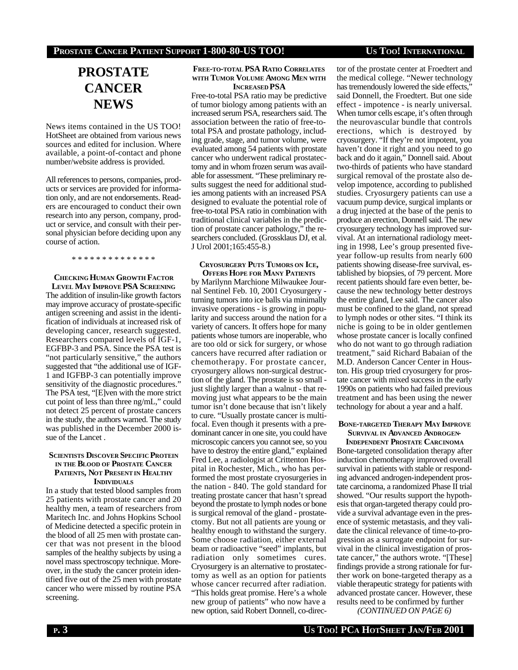# **PROSTATE CANCER NEWS**

News items contained in the US TOO! HotSheet are obtained from various news sources and edited for inclusion. Where available, a point-of-contact and phone number/website address is provided.

All references to persons, companies, products or services are provided for information only, and are not endorsements. Readers are encouraged to conduct their own research into any person, company, product or service, and consult with their personal physician before deciding upon any course of action.

\* \* \* \* \* \* \* \* \* \* \* \* \* \*

### **CHECKING HUMAN GROWTH FACTOR LEVEL MAY IMPROVE PSA SCREENING**

The addition of insulin-like growth factors may improve accuracy of prostate-specific antigen screening and assist in the identification of individuals at increased risk of developing cancer, research suggested. Researchers compared levels of IGF-1, EGFBP-3 and PSA. Since the PSA test is "not particularly sensitive," the authors suggested that "the additional use of IGF-1 and IGFBP-3 can potentially improve sensitivity of the diagnostic procedures." The PSA test, "[E]ven with the more strict cut point of less than three ng/mL," could not detect 25 percent of prostate cancers in the study, the authors warned. The study was published in the December 2000 issue of the Lancet .

### **SCIENTISTS DISCOVER SPECIFIC PROTEIN IN THE BLOOD OF PROSTATE CANCER PATIENTS, NOT PRESENT IN HEALTHY INDIVIDUALS**

In a study that tested blood samples from 25 patients with prostate cancer and 20 healthy men, a team of researchers from Maritech Inc. and Johns Hopkins School of Medicine detected a specific protein in the blood of all 25 men with prostate cancer that was not present in the blood samples of the healthy subjects by using a novel mass spectroscopy technique. Moreover, in the study the cancer protein identified five out of the 25 men with prostate cancer who were missed by routine PSA screening.

### **FREE-TO-TOTAL PSA RATIO CORRELATES WITH TUMOR VOLUME AMONG MEN WITH INCREASED PSA**

Free-to-total PSA ratio may be predictive of tumor biology among patients with an increased serum PSA, researchers said. The association between the ratio of free-tototal PSA and prostate pathology, including grade, stage, and tumor volume, were evaluated among 54 patients with prostate cancer who underwent radical prostatectomy and in whom frozen serum was available for assessment. "These preliminary results suggest the need for additional studies among patients with an increased PSA designed to evaluate the potential role of free-to-total PSA ratio in combination with traditional clinical variables in the prediction of prostate cancer pathology," the researchers concluded. (Grossklaus DJ, et al. J Urol 2001;165:455-8.)

### **CRYOSURGERY PUTS TUMORS ON ICE, OFFERS HOPE FOR MANY PATIENTS**

by Marilynn Marchione Milwaukee Journal Sentinel Feb. 10, 2001 Cryosurgery turning tumors into ice balls via minimally invasive operations - is growing in popularity and success around the nation for a variety of cancers. It offers hope for many patients whose tumors are inoperable, who are too old or sick for surgery, or whose cancers have recurred after radiation or chemotherapy. For prostate cancer, cryosurgery allows non-surgical destruction of the gland. The prostate is so small just slightly larger than a walnut - that removing just what appears to be the main tumor isn't done because that isn't likely to cure. "Usually prostate cancer is multifocal. Even though it presents with a predominant cancer in one site, you could have microscopic cancers you cannot see, so you have to destroy the entire gland," explained Fred Lee, a radiologist at Crittenton Hospital in Rochester, Mich., who has performed the most prostate cryosurgeries in the nation - 840. The gold standard for treating prostate cancer that hasn't spread beyond the prostate to lymph nodes or bone is surgical removal of the gland - prostatectomy. But not all patients are young or healthy enough to withstand the surgery. Some choose radiation, either external beam or radioactive "seed" implants, but radiation only sometimes cures. Cryosurgery is an alternative to prostatectomy as well as an option for patients whose cancer recurred after radiation. "This holds great promise. Here's a whole new group of patients" who now have a new option, said Robert Donnell, co-director of the prostate center at Froedtert and the medical college. "Newer technology has tremendously lowered the side effects," said Donnell, the Froedtert. But one side effect - impotence - is nearly universal. When tumor cells escape, it's often through the neurovascular bundle that controls erections, which is destroyed by cryosurgery. "If they're not impotent, you haven't done it right and you need to go back and do it again," Donnell said. About two-thirds of patients who have standard surgical removal of the prostate also develop impotence, according to published studies. Cryosurgery patients can use a vacuum pump device, surgical implants or a drug injected at the base of the penis to produce an erection, Donnell said. The new cryosurgery technology has improved survival. At an international radiology meeting in 1998, Lee's group presented fiveyear follow-up results from nearly 600 patients showing disease-free survival, established by biopsies, of 79 percent. More recent patients should fare even better, because the new technology better destroys the entire gland, Lee said. The cancer also must be confined to the gland, not spread to lymph nodes or other sites. "I think its niche is going to be in older gentlemen whose prostate cancer is locally confined who do not want to go through radiation treatment," said Richard Babaian of the M.D. Anderson Cancer Center in Houston. His group tried cryosurgery for prostate cancer with mixed success in the early 1990s on patients who had failed previous treatment and has been using the newer technology for about a year and a half.

## **BONE-TARGETED THERAPY MAY IMPROVE SURVIVAL IN ADVANCED ANDROGEN-**

**INDEPENDENT PROSTATE CARCINOMA** Bone-targeted consolidation therapy after induction chemotherapy improved overall survival in patients with stable or responding advanced androgen-independent prostate carcinoma, a randomized Phase II trial showed. "Our results support the hypothesis that organ-targeted therapy could provide a survival advantage even in the presence of systemic metastasis, and they validate the clinical relevance of time-to-progression as a surrogate endpoint for survival in the clinical investigation of prostate cancer," the authors wrote. "[These] findings provide a strong rationale for further work on bone-targeted therapy as a viable therapeutic strategy for patients with advanced prostate cancer. However, these results need to be confirmed by further

*(CONTINUED ON PAGE 6)*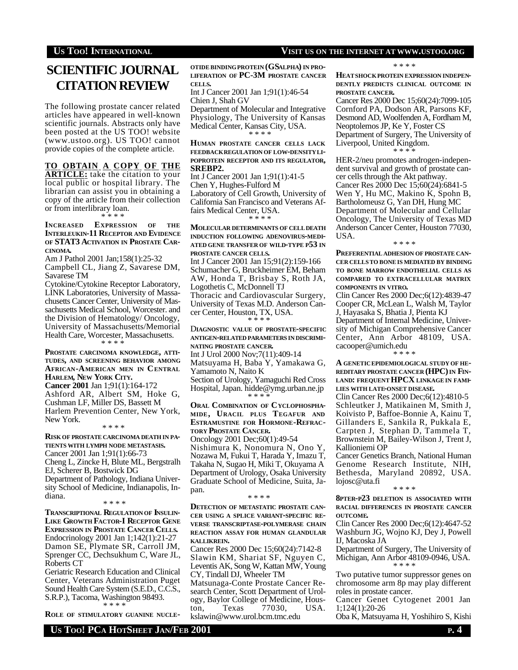# **U**S TOO! INTERNATIONAL **VISIT** US ON THE INTERNET AT WWW.USTOO.ORG

# **SCIENTIFIC JOURNAL CITATION REVIEW**

The following prostate cancer related articles have appeared in well-known scientific journals. Abstracts only have been posted at the US TOO! website (www.ustoo.org). US TOO! cannot provide copies of the complete article.

**TO OBTAIN A COPY OF THE ARTICLE:** take the citation to your local public or hospital library. The librarian can assist you in obtaining a copy of the article from their collection or from interlibrary loan.

\* \* \* \*

**INCREASED EXPRESSION OF THE INTERLEUKIN-11 RECEPTOR AND EVIDENCE OF STAT3 ACTIVATION IN PROSTATE CAR-CINOMA.**

Am J Pathol 2001 Jan;158(1):25-32 Campbell CL, Jiang Z, Savarese DM, Savarese TM

Cytokine/Cytokine Receptor Laboratory, LINK Laboratories, University of Massachusetts Cancer Center, University of Massachusetts Medical School, Worcester. and the Division of Hematology/ Oncology, University of Massachusetts/Memorial Health Care, Worcester, Massachusetts. \* \* \* \*

**PROSTATE CARCINOMA KNOWLEDGE, ATTI-TUDES, AND SCREENING BEHAVIOR AMONG AFRICAN-AMERICAN MEN IN CENTRAL HARLEM, NEW YORK CITY. Cancer 2001** Jan 1;91(1):164-172

Ashford AR, Albert SM, Hoke G, Cushman LF, Miller DS, Bassett M Harlem Prevention Center, New York, New York. \* \* \* \*

**RISK OF PROSTATE CARCINOMA DEATH IN PA-TIENTS WITH LYMPH NODE METASTASIS.** Cancer 2001 Jan 1;91(1):66-73 Cheng L, Zincke H, Blute ML, Bergstralh EJ, Scherer B, Bostwick DG Department of Pathology, Indiana University School of Medicine, Indianapolis, Indiana. \* \* \* \*

**TRANSCRIPTIONAL REGULATION OF INSULIN-LIKE GROWTH FACTOR-I RECEPTOR GENE EXPRESSION IN PROSTATE CANCER CELLS.** Endocrinology 2001 Jan 1;142(1):21-27 Damon SE, Plymate SR, Carroll JM, Sprenger CC, Dechsukhum C, Ware JL, Roberts CT

Geriatric Research Education and Clinical Center, Veterans Administration Puget Sound Health Care System (S.E.D., C.C.S., S.R.P.), Tacoma, Washington 98493. \* \* \* \*

**ROLE OF STIMULATORY GUANINE NUCLE-**

**OTIDE BINDINGPROTEIN (GSALPHA) IN PRO-LIFERATION OF PC-3M PROSTATE CANCER CELLS.**

Int J Cancer 2001 Jan 1;91(1):46-54 Chien J, Shah GV

Department of Molecular and Integrative Physiology, The University of Kansas Medical Center, Kansas City, USA. \* \* \* \*

**HUMAN PROSTATE CANCER CELLS LACK FEEDBACKREGULATION OF LOW-DENSITYLI-POPROTEIN RECEPTOR AND ITS REGULATOR, SREBP2.**

Int J Cancer 2001 Jan 1;91(1):41-5 Chen Y, Hughes-Fulford M Laboratory of Cell Growth, University of California San Francisco and Veterans Affairs Medical Center, USA. \* \* \* \*

**MOLECULAR DETERMINANTS OF CELLDEATH INDUCTION FOLLOWING ADENOVIRUS-MEDI-ATED GENE TRANSFER OF WILD-TYPE <sup>P</sup>53 IN PROSTATE CANCER CELLS.**

Int J Cancer 2001 Jan 15;91(2):159-166 Schumacher G, Bruckheimer EM, Beham AW, Honda T, Brisbay S, Roth JA, Logothetis C, McDonnell TJ Thoracic and Cardiovascular Surgery, University of Texas M.D. Anderson Cancer Center, Houston, TX, USA.

 \* \* \* \* D**IAGNOSTIC VALUE OF PROSTATE-SPECIFIC ANTIGEN-RELATED PARAMETERS IN DISCRIMI-**

**NATING PROSTATE CANCER.** Int J Urol 2000 Nov;7(11):409-14 Matsuyama H, Baba Y, Yamakawa G, Yamamoto N, Naito K Section of Urology, Yamaguchi Red Cross Hospital, Japan. hidde@ymg.urban.ne.jp \* \* \* \*

**ORAL COMBINATION OF CYCLOPHOSPHA-MIDE, URACIL PLUS TEGAFUR AND ESTRAMUSTINE FOR HORMONE-REFRAC-TORY PROSTATE CANCER.**

Oncology 2001 Dec;60(1):49-54 Nishimura K, Nonomura N, Ono Y, Nozawa M, Fukui T, Harada Y, Imazu T, Takaha N, Sugao H, Miki T, Okuyama A Department of Urology, Osaka University Graduate School of Medicine, Suita, Japan.

#### \* \* \* \*

**DETECTION OF METASTATIC PROSTATE CAN-CER USING <sup>A</sup> SPLICE VARIANT-SPECIFIC RE-VERSE TRANSCRIPTASE-POLYMERASE CHAIN REACTION ASSAY FOR HUMAN GLANDULAR KALLIKREIN.**

Cancer Res 2000 Dec 15;60(24):7142-8 Slawin KM, Shariat SF, Nguyen C, Leventis AK, Song W, Kattan MW, Young CY, Tindall DJ, Wheeler TM Matsunaga-Conte Prostate Cancer Research Center, Scott Department of Urology, Baylor College of Medicine, Hous-<br>ton Texas 77030 USA

 $\frac{1}{2}$  Texas 77030. kslawin@www.urol.bcm.tmc.edu \* \* \* \*

**HEATSHOCKPROTEIN EXPRESSION INDEPEN-DENTLY PREDICTS CLINICAL OUTCOME IN PROSTATE CANCER.**

Cancer Res 2000 Dec 15;60(24):7099-105 Cornford PA, Dodson AR, Parsons KF, Desmond AD, Woolfenden A, Fordham M, Neoptolemos JP, Ke Y, Foster CS Department of Surgery, The University of Liverpool, United Kingdom. \* \* \* \*

HER-2/neu promotes androgen-independent survival and growth of prostate cancer cells through the Akt pathway. Cancer Res 2000 Dec 15;60(24):6841-5 Wen Y, Hu MC, Makino K, Spohn B, Bartholomeusz G, Yan DH, Hung MC Department of Molecular and Cellular Oncology, The University of Texas MD Anderson Cancer Center, Houston 77030, USA.

\* \* \* \*

**PREFERENTIAL ADHESION OF PROSTATE CAN-CER CELLSTO BONEIS MEDIATED BY BINDING TO BONE MARROW ENDOTHELIAL CELLS AS COMPARED TO EXTRACELLULAR MATRIX COMPONENTS IN VITRO.**

Clin Cancer Res 2000 Dec;6(12):4839-47 Cooper CR, McLean L, Walsh M, Taylor J, Hayasaka S, Bhatia J, Pienta KJ Department of Internal Medicine, University of Michigan Comprehensive Cancer

Center, Ann Arbor 48109, USA. cacooper@umich.edu \* \* \* \*

**A GENETICEPIDEMIOLOGICAL STUDYOF HE-REDITARY PROSTATE CANCER (HPC) IN FIN-LAND: FREQUENT HPCX LINKAGE IN FAMI-LIES WITH LATE-ONSET DISEASE.**

Clin Cancer Res 2000 Dec;6(12):4810-5 Schleutker J, Matikainen M, Smith J, Koivisto P, Baffoe-Bonnie A, Kainu T, Gillanders E, Sankila R, Pukkala E, Carpten J, Stephan D, Tammela T, Brownstein M, Bailey-Wilson J, Trent J, Kallioniemi OP

Cancer Genetics Branch, National Human Genome Research Institute, NIH, Bethesda, Maryland 20892, USA. lojosc@uta.fi

### \* \* \* \*

**8PTER-P23 DELETION IS ASSOCIATED WITH RACIAL DIFFERENCES IN PROSTATE CANCER OUTCOME.**

Clin Cancer Res 2000 Dec;6(12):4647-52 Washburn JG, Wojno KJ, Dey J, Powell IJ, Macoska JA

Department of Surgery, The University of Michigan, Ann Arbor 48109-0946, USA. \* \* \* \*

Two putative tumor suppressor genes on chromosome arm 8p may play different roles in prostate cancer.

Cancer Genet Cytogenet 2001 Jan 1;124(1):20-26

Oba K, Matsuyama H, Yoshihiro S, Kishi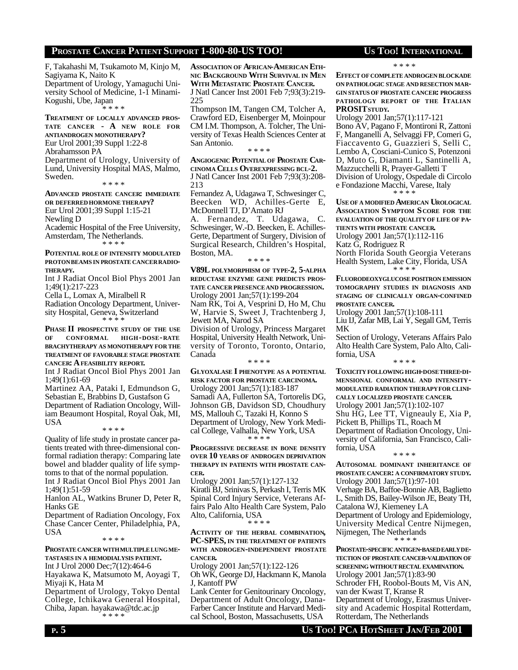# **PROSTATE CANCER PATIENT SUPPORT 1-800-80-US TOO! US TOO! INTERNATIONAL**

F, Takahashi M, Tsukamoto M, Kinjo M, Sagiyama K, Naito K Department of Urology, Yamaguchi University School of Medicine, 1-1 Minami-Kogushi, Ube, Japan \* \* \* \*

**TREATMENT OF LOCALLY ADVANCED PROS-TATE CANCER - A NEW ROLE FOR ANTIANDROGEN MONOTHERAPY?** Eur Urol 2001;39 Suppl 1:22-8 Abrahamsson PA Department of Urology, University of Lund, University Hospital MAS, Malmo, Sweden.

\* \* \* \*

**ADVANCED PROSTATE CANCER: IMMEDIATE OR DEFERREDHORMONE THERAPY?** Eur Urol 2001;39 Suppl 1:15-21 Newling D Academic Hospital of the Free University, Amsterdam, The Netherlands.

\* \* \* \*

**POTENTIAL ROLE OF INTENSITY MODULATED PROTONBEAMS IN PROSTATE CANCERRADIO-THERAPY.**

Int J Radiat Oncol Biol Phys 2001 Jan 1;49(1):217-223

Cella L, Lomax A, Miralbell R

Radiation Oncology Department, University Hospital, Geneva, Switzerland \* \* \* \*

**PHASE II PROSPECTIVE STUDY OF THE USE OF CONFORMAL HIGH-DOSE-RATE BRACHYTHERAPY AS MONOTHERAPY FOR THE TREATMENT OF FAVORABLE STAGE PROSTATE CANCER: A FEASIBILITY REPORT.**

Int J Radiat Oncol Biol Phys 2001 Jan 1;49(1):61-69

Martinez AA, Pataki I, Edmundson G, Sebastian E, Brabbins D, Gustafson G Department of Radiation Oncology, William Beaumont Hospital, Royal Oak, MI, USA

\* \* \* \*

Quality of life study in prostate cancer patients treated with three-dimensional conformal radiation therapy: Comparing late bowel and bladder quality of life symptoms to that of the normal population. Int J Radiat Oncol Biol Phys 2001 Jan

1;49(1):51-59

Hanlon AL, Watkins Bruner D, Peter R, Hanks GE

Department of Radiation Oncology, Fox Chase Cancer Center, Philadelphia, PA, USA

\* \* \* \*

**PROSTATECANCER WITHMULTIPLELUNGME-TASTASES IN <sup>A</sup> HEMODIALYSIS PATIENT.** Int J Urol 2000 Dec;7(12):464-6 Hayakawa K, Matsumoto M, Aoyagi T, Miyaji K, Hata M

Department of Urology, Tokyo Dental College, Ichikawa General Hospital, Chiba, Japan. hayakawa@tdc.ac.jp \* \* \* \*

**ASSOCIATION OF AFRICAN-AMERICAN ETH-NIC BACKGROUND WITH SURVIVAL IN MEN WITH METASTATIC PROSTATE CANCER.** J Natl Cancer Inst 2001 Feb 7;93(3):219- 225

Thompson IM, Tangen CM, Tolcher A, Crawford ED, Eisenberger M, Moinpour CM I.M. Thompson, A. Tolcher, The University of Texas Health Sciences Center at San Antonio.

\* \* \* \*

**ANGIOGENIC POTENTIAL OF PROSTATE CAR-CINOMA CELLS OVEREXPRESSING BCL-2.** J Natl Cancer Inst 2001 Feb 7;93(3):208- 213

Fernandez A, Udagawa T, Schwesinger C, Beecken WD, Achilles-Gerte E, McDonnell TJ, D'Amato RJ

A. Fernandez, T. Udagawa, C. Schwesinger, W.-D. Beecken, E. Achilles-Gerte, Department of Surgery, Division of Surgical Research, Children's Hospital, Boston, MA.

\* \* \* \*

**V89L POLYMORPHISM OF TYPE-2, 5-ALPHA REDUCTASE ENZYME GENE PREDICTS PROS-TATE CANCER PRESENCEAND PROGRESSION.** Urology 2001 Jan;57(1):199-204 Nam RK, Toi A, Vesprini D, Ho M, Chu W, Harvie S, Sweet J, Trachtenberg J, Jewett MA, Narod SA Division of Urology, Princess Margaret Hospital, University Health Network, University of Toronto, Toronto, Ontario, Canada

\* \* \* \*

**GLYOXALASE I PHENOTYPE AS <sup>A</sup> POTENTIAL RISK FACTOR FOR PROSTATE CARCINOMA.** Urology 2001 Jan;57(1):183-187 Samadi AA, Fullerton SA, Tortorelis DG, Johnson GB, Davidson SD, Choudhury MS, Mallouh C, Tazaki H, Konno S Department of Urology, New York Medical College, Valhalla, New York, USA \* \* \* \*

**PROGRESSIVE DECREASE IN BONE DENSITY OVER 10 YEARS OF ANDROGEN DEPRIVATION THERAPY IN PATIENTS WITH PROSTATE CAN-CER.**

Urology 2001 Jan;57(1):127-132 Kiratli BJ, Srinivas S, Perkash I, Terris MK Spinal Cord Injury Service, Veterans Affairs Palo Alto Health Care System, Palo Alto, California, USA \* \* \* \*

**ACTIVITY OF THE HERBAL COMBINATION, PC-SPES, IN THE TREATMENT OF PATIENTS WITH ANDROGEN-INDEPENDENT PROSTATE CANCER.**

Urology 2001 Jan;57(1):122-126 Oh WK, George DJ, Hackmann K, Manola J, Kantoff PW

Lank Center for Genitourinary Oncology, Department of Adult Oncology, Dana-Farber Cancer Institute and Harvard Medical School, Boston, Massachusetts, USA

\* \* \* \*

**EFFECT OF COMPLETE ANDROGEN BLOCKADE ON PATHOLOGIC STAGE AND RESECTION MAR-GIN STATUSOF PROSTATE CANCER: PROGRESS PATHOLOGY REPORT OF THE ITALIAN PROSIT STUDY.**

Urology 2001 Jan;57(1):117-121 Bono AV, Pagano F, Montironi R, Zattoni F, Manganelli A, Selvaggi FP, Comeri G, Fiaccavento G, Guazzieri S, Selli C, Lembo A, Cosciani-Cunico S, Potenzoni D, Muto G, Diamanti L, Santinelli A, Mazzucchelli R, Prayer-Galletti T Division of Urology, Ospedale di Circolo e Fondazione Macchi, Varese, Italy \* \* \* \*

**USE OF <sup>A</sup> MODIFIED AMERICAN UROLOGICAL ASSOCIATION SYMPTOM SCORE FOR THE EVALUATION OF THE QUALITYOF LIFE OF PA-TIENTS WITH PROSTATE CANCER.**

Urology 2001 Jan;57(1):112-116

Katz G, Rodriguez R

North Florida South Georgia Veterans Health System, Lake City, Florida, USA \* \* \* \*

**FLUORODEOXYGLUCOSEPOSITRON EMISSION TOMOGRAPHY STUDIES IN DIAGNOSIS AND STAGING OF CLINICALLY ORGAN-CONFINED PROSTATE CANCER.**

Urology 2001 Jan;57(1):108-111

Liu IJ, Zafar MB, Lai Y, Segall GM, Terris MK

Section of Urology, Veterans Affairs Palo Alto Health Care System, Palo Alto, California, USA \* \* \* \*

**TOXICITY FOLLOWING HIGH-DOSETHREE-DI-MENSIONAL CONFORMAL AND INTENSITY-MODULATED RADIATION THERAPYFOR CLINI-CALLY LOCALIZED PROSTATE CANCER.** Urology 2001 Jan;57(1):102-107 Shu HG, Lee TT, Vigneauly E, Xia P, Pickett B, Phillips TL, Roach M Department of Radiation Oncology, University of California, San Francisco, California, USA

\* \* \* \*

**AUTOSOMAL DOMINANT INHERITANCE OF PROSTATE CANCER: <sup>A</sup> CONFIRMATORY STUDY.** Urology 2001 Jan;57(1):97-101 Verhage BA, Baffoe-Bonnie AB, Baglietto L, Smith DS, Bailey-Wilson JE, Beaty TH, Catalona WJ, Kiemeney LA Department of Urology and Epidemiology, University Medical Centre Nijmegen, Nijmegen, The Netherlands \* \* \* \*

**PROSTATE-SPECIFICANTIGEN-BASEDEARLYDE-TECTION OF PROSTATE CANCER-VALIDATION OF SCREENING** WITHOUT RECTAL EXAMINATION. Urology 2001 Jan;57(1):83-90 Schroder FH, Roobol-Bouts M, Vis AN, van der Kwast T, Kranse R Department of Urology, Erasmus University and Academic Hospital Rotterdam, Rotterdam, The Netherlands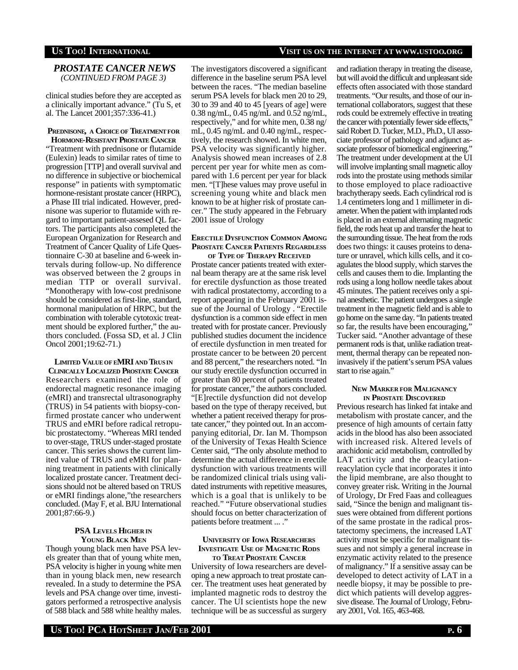*PROSTATE CANCER NEWS (CONTINUED FROM PAGE 3)*

clinical studies before they are accepted as a clinically important advance." (Tu S, et al. The Lancet 2001;357:336-41.)

### **PREDNISONE, A CHOICE OF TREATMENTFOR HORMONE-RESISTANT PROSTATE CANCER**

"Treatment with prednisone or flutamide (Eulexin) leads to similar rates of time to progression [TTP] and overall survival and no difference in subjective or biochemical response" in patients with symptomatic hormone-resistant prostate cancer (HRPC), a Phase III trial indicated. However, prednisone was superior to flutamide with regard to important patient-assesed QL factors. The participants also completed the European Organization for Research and Treatment of Cancer Quality of Life Questionnaire C-30 at baseline and 6-week intervals during follow-up. No difference was observed between the 2 groups in median TTP or overall survival. "Monotherapy with low-cost prednisone should be considered as first-line, standard, hormonal manipulation of HRPC, but the combination with tolerable cytotoxic treatment should be explored further," the authors concluded. (Fossa SD, et al. J Clin Oncol 2001;19:62-71.)

### **LIMITED VALUEOF <sup>E</sup>MRI AND TRUS IN CLINICALLY LOCALIZED PROSTATE CANCER**

Researchers examined the role of endorectal magnetic resonance imaging (eMRI) and transrectal ultrasonography (TRUS) in 54 patients with biopsy-confirmed prostate cancer who underwent TRUS and eMRI before radical retropubic prostatectomy. "Whereas MRI tended to over-stage, TRUS under-staged prostate cancer. This series shows the current limited value of TRUS and eMRI for planning treatment in patients with clinically localized prostate cancer. Treatment decisions should not be altered based on TRUS or eMRI findings alone,"the researchers concluded. (May F, et al. BJU International 2001;87:66-9.)

### **PSA LEVELS HIGHER IN YOUNG BLACK MEN**

Though young black men have PSA levels greater than that of young white men, PSA velocity is higher in young white men than in young black men, new research revealed. In a study to determine the PSA levels and PSA change over time, investigators performed a retrospective analysis of 588 black and 588 white healthy males.

The investigators discovered a significant difference in the baseline serum PSA level between the races. "The median baseline serum PSA levels for black men 20 to 29, 30 to 39 and 40 to 45 [years of age] were 0.38 ng/mL, 0.45 ng/mL and 0.52 ng/mL, respectively," and for white men, 0.38 ng/ mL, 0.45 ng/mL and 0.40 ng/mL, respectively, the research showed. In white men, PSA velocity was significantly higher. Analysis showed mean increases of 2.8 percent per year for white men as compared with 1.6 percent per year for black men. "[T]hese values may prove useful in screening young white and black men known to be at higher risk of prostate cancer." The study appeared in the February 2001 issue of Urology

### **ERECTILE DYSFUNCTION COMMON AMONG PROSTATE CANCER PATIENTS REGARDLESS OF TYPE OF THERAPY RECEIVED**

Prostate cancer patients treated with external beam therapy are at the same risk level for erectile dysfunction as those treated with radical prostatectomy, according to a report appearing in the February 2001 issue of the Journal of Urology . "Erectile dysfunction is a common side effect in men treated with for prostate cancer. Previously published studies document the incidence of erectile dysfunction in men treated for prostate cancer to be between 20 percent and 88 percent," the researchers noted. "In our study erectile dysfunction occurred in greater than 80 percent of patients treated for prostate cancer," the authors concluded. "[E]rectile dysfunction did not develop based on the type of therapy received, but whether a patient received therapy for prostate cancer," they pointed out. In an accompanying editorial, Dr. Ian M. Thompson of the University of Texas Health Science Center said, "The only absolute method to determine the actual difference in erectile dysfunction with various treatments will be randomized clinical trials using validated instruments with repetitive measures, which is a goal that is unlikely to be reached." "Future observational studies should focus on better characterization of patients before treatment ... ."

### **UNIVERSITY OF IOWA RESEARCHERS INVESTIGATE USE OF MAGNETIC RODS TO TREAT PROSTATE CANCER**

University of Iowa researchers are developing a new approach to treat prostate cancer. The treatment uses heat generated by implanted magnetic rods to destroy the cancer. The UI scientists hope the new technique will be as successful as surgery and radiation therapy in treating the disease, but will avoid the difficult and unpleasant side effects often associated with those standard treatments. "Our results, and those of our international collaborators, suggest that these rods could be extremely effective in treating the cancer with potentially fewer side effects," said Robert D. Tucker, M.D., Ph.D., UI associate professor of pathology and adjunct associate professor of biomedical engineering." The treatment under development at the UI will involve implanting small magnetic alloy rods into the prostate using methods similar to those employed to place radioactive brachytherapy seeds. Each cylindrical rod is 1.4 centimeters long and 1 millimeter in diameter. When the patient with implanted rods is placed in an external alternating magnetic field, the rods heat up and transfer the heat to the surrounding tissue. The heat from the rods does two things: it causes proteins to denature or unravel, which kills cells, and it coagulates the blood supply, which starves the cells and causes them to die. Implanting the rods using a long hollow needle takes about 45 minutes. The patient receives only a spinal anesthetic. The patient undergoes a single treatment in the magnetic field and is able to go home on the same day. "In patients treated so far, the results have been encouraging," Tucker said. "Another advantage of these permanent rods is that, unlike radiation treatment, thermal therapy can be repeated noninvasively if the patient's serum PSA values start to rise again."

### **NEW MARKER FOR MALIGNANCY IN PROSTATE DISCOVERED**

Previous research has linked fat intake and metabolism with prostate cancer, and the presence of high amounts of certain fatty acids in the blood has also been associated with increased risk. Altered levels of arachidonic acid metabolism, controlled by LAT activity and the deacylationreacylation cycle that incorporates it into the lipid membrane, are also thought to convey greater risk. Writing in the Journal of Urology, Dr Fred Faas and colleagues said, "Since the benign and malignant tissues were obtained from different portions of the same prostate in the radical prostatectomy specimens, the increased LAT activity must be specific for malignant tissues and not simply a general increase in enzymatic activity related to the presence of malignancy." If a sensitive assay can be developed to detect activity of LAT in a needle biopsy, it may be possible to predict which patients will develop aggressive disease. The Journal of Urology, February 2001, Vol. 165, 463-468.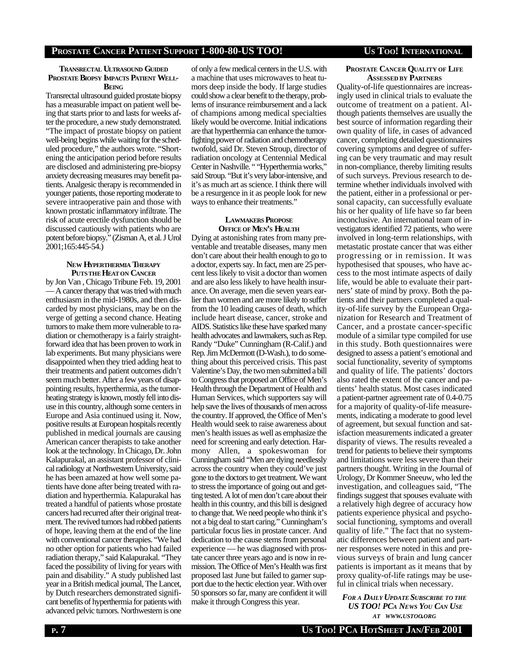# **PROSTATE CANCER PATIENT SUPPORT 1-800-80-US TOO! US TOO! INTERNATIONAL**

### **TRANSRECTAL ULTRASOUND GUIDED PROSTATE BIOPSY IMPACTS PATIENT WELL-BEING**

Transrectal ultrasound guided prostate biopsy has a measurable impact on patient well being that starts prior to and lasts for weeks after the procedure, a new study demonstrated. "The impact of prostate biopsy on patient well-being begins while waiting for the scheduled procedure," the authors wrote. "Shortening the anticipation period before results are disclosed and administering pre-biopsy anxiety decreasing measures may benefit patients. Analgesic therapy is recommended in younger patients, those reporting moderate to severe intraoperative pain and those with known prostatic inflammatory infiltrate. The risk of acute erectile dysfunction should be discussed cautiously with patients who are potent before biopsy." (Zisman A, et al. J Urol  $2001;165:445-54.$ 

### **NEW HYPERTHERMIA THERAPY PUTSTHE HEAT ON CANCER**

by Jon Van , Chicago Tribune Feb. 19, 2001 — A cancer therapy that was tried with much enthusiasm in the mid-1980s, and then discarded by most physicians, may be on the verge of getting a second chance. Heating tumors to make them more vulnerable to radiation or chemotherapy is a fairly straightforward idea that has been proven to work in lab experiments. But many physicians were disappointed when they tried adding heat to their treatments and patient outcomes didn't seem much better. After a few years of disappointing results, hyperthermia, as the tumorheating strategy is known, mostly fell into disuse in this country, although some centers in Europe and Asia continued using it. Now, positive results at European hospitals recently published in medical journals are causing American cancer therapists to take another look at the technology. In Chicago, Dr. John Kalapurakal, an assistant professor of clinical radiology at Northwestern University, said he has been amazed at how well some patients have done after being treated with radiation and hyperthermia. Kalapurakal has treated a handful of patients whose prostate cancers had recurred after their original treatment. The revived tumors had robbed patients of hope, leaving them at the end of the line with conventional cancer therapies. "We had no other option for patients who had failed radiation therapy," said Kalapurakal. "They faced the possibility of living for years with pain and disability." A study published last year in a British medical journal, The Lancet, by Dutch researchers demonstrated significant benefits of hyperthermia for patients with advanced pelvic tumors. Northwestern is one

of only a few medical centers in the U.S. with a machine that uses microwaves to heat tumors deep inside the body. If large studies could show a clear benefit to the therapy, problems of insurance reimbursement and a lack of champions among medical specialties likely would be overcome. Initial indications are that hyperthermia can enhance the tumorfighting power of radiation and chemotherapy twofold, said Dr. Steven Stroup, director of radiation oncology at Centennial Medical Center in Nashville. " "Hyperthermia works," said Stroup. "But it's very labor-intensive, and it's as much art as science. I think there will be a resurgence in it as people look for new ways to enhance their treatments."

### **LAWMAKERS PROPOSE OFFICE OF MEN'S HEALTH**

Dying at astonishing rates from many preventable and treatable diseases, many men don't care about their health enough to go to a doctor, experts say. In fact, men are 25 percent less likely to visit a doctor than women and are also less likely to have health insurance. On average, men die seven years earlier than women and are more likely to suffer from the 10 leading causes of death, which include heart disease, cancer, stroke and AIDS. Statistics like these have sparked many health advocates and lawmakers, such as Rep. Randy "Duke" Cunningham (R-Calif.) and Rep. Jim McDermott (D-Wash.), to do something about this perceived crisis. This past Valentine's Day, the two men submitted a bill to Congress that proposed an Office of Men's Health through the Department of Health and Human Services, which supporters say will help save the lives of thousands of men across the country. If approved, the Office of Men's Health would seek to raise awareness about men's health issues as well as emphasize the need for screening and early detection. Harmony Allen, a spokeswoman for Cunningham said "Men are dying needlessly across the country when they could've just gone to the doctors to get treatment. We want to stress the importance of going out and getting tested. A lot of men don't care about their health in this country, and this bill is designed to change that. We need people who think it's not a big deal to start caring." Cunningham's particular focus lies in prostate cancer. And dedication to the cause stems from personal experience — he was diagnosed with prostate cancer three years ago and is now in remission. The Office of Men's Health was first proposed last June but failed to garner support due to the hectic election year. With over 50 sponsors so far, many are confident it will make it through Congress this year.

### **PROSTATE CANCER QUALITY OF LIFE ASSESSED BY PARTNERS**

Quality-of-life questionnaires are increasingly used in clinical trials to evaluate the outcome of treatment on a patient. Although patients themselves are usually the best source of information regarding their own quality of life, in cases of advanced cancer, completing detailed questionnaires covering symptoms and degree of suffering can be very traumatic and may result in non-compliance, thereby limiting results of such surveys. Previous research to determine whether individuals involved with the patient, either in a professional or personal capacity, can successfully evaluate his or her quality of life have so far been inconclusive. An international team of investigators identified 72 patients, who were involved in long-term relationships, with metastatic prostate cancer that was either progressing or in remission. It was hypothesised that spouses, who have access to the most intimate aspects of daily life, would be able to evaluate their partners' state of mind by proxy. Both the patients and their partners completed a quality-of-life survey by the European Organization for Research and Treatment of Cancer, and a prostate cancer-specific module of a similar type compiled for use in this study. Both questionnaires were designed to assess a patient's emotional and social functionality, severity of symptoms and quality of life. The patients' doctors also rated the extent of the cancer and patients' health status. Most cases indicated a patient-partner agreement rate of 0.4-0.75 for a majority of quality-of-life measurements, indicating a moderate to good level of agreement, but sexual function and satisfaction measurements indicated a greater disparity of views. The results revealed a trend for patients to believe their symptoms and limitations were less severe than their partners thought. Writing in the Journal of Urology, Dr Kommer Sneeuw, who led the investigation, and colleagues said, "The findings suggest that spouses evaluate with a relatively high degree of accuracy how patients experience physical and psychosocial functioning, symptoms and overall quality of life." The fact that no systematic differences between patient and partner responses were noted in this and previous surveys of brain and lung cancer patients is important as it means that by proxy quality-of-life ratings may be useful in clinical trials when necessary.

### *FOR <sup>A</sup> DAILY UPDATE SUBSCRIBE TO THE US TOO! PCA NEWS YOU CAN USE AT WWW.USTOO.ORG*